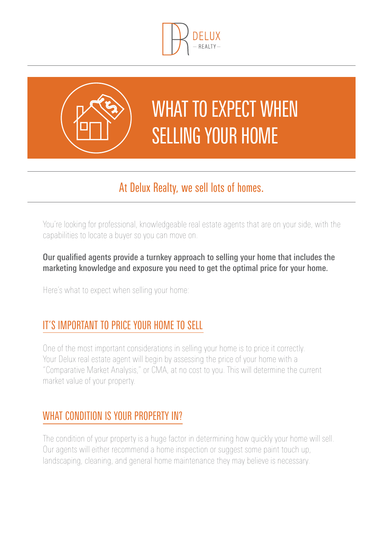



# WHAT TO EXPECT WHEN selling your home

# At Delux Realty, we sell lots of homes.

You're looking for professional, knowledgeable real estate agents that are on your side, with the capabilities to locate a buyer so you can move on.

#### Our qualified agents provide a turnkey approach to selling your home that includes the marketing knowledge and exposure you need to get the optimal price for your home.

Here's what to expect when selling your home:

## It's important to price your home to sell

One of the most important considerations in selling your home is to price it correctly. Your Delux real estate agent will begin by assessing the price of your home with a "Comparative Market Analysis," or CMA, at no cost to you. This will determine the current market value of your property.

### WHAT CONDITION IS YOUR PROPERTY IN?

The condition of your property is a huge factor in determining how quickly your home will sell. Our agents will either recommend a home inspection or suggest some paint touch up, landscaping, cleaning, and general home maintenance they may believe is necessary.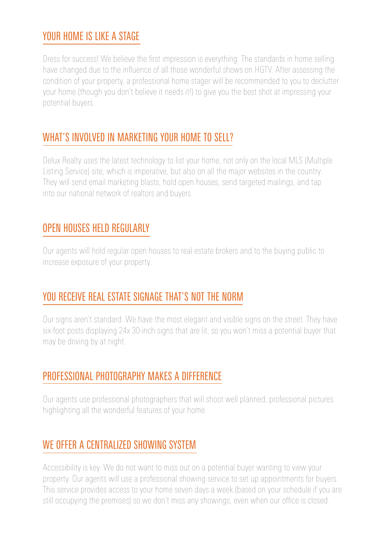### YOUR HOME IS LIKE A STAGE

Dress for success! We believe the first impression is everything. The standards in home selling have changed due to the influence of all those wonderful shows on HGTV. After assessing the condition of your property, a professional home stager will be recommended to you to declutter your home (though you don't believe it needs it!) to give you the best shot at impressing your potential buyers.

#### WHAT'S INVOLVED IN MARKETING YOUR HOME TO SELL?

Delux Realty uses the latest technology to list your home, not only on the local MLS (Multiple Listing Service) site, which is imperative, but also on all the major websites in the country. They will send email marketing blasts, hold open houses, send targeted mailings, and tap into our national network of realtors and buyers.

#### Open houses held regularly

Our agents will hold regular open houses to real estate brokers and to the buying public to increase exposure of your property.

### You receive real estate signage that's not the norm

Our signs aren't standard. We have the most elegant and visible signs on the street. They have six-foot posts displaying 24x 30-inch signs that are lit, so you won't miss a potential buyer that may be driving by at night.

### Professional photography makes a difference

Our agents use professional photographers that will shoot well planned, professional pictures highlighting all the wonderful features of your home.

#### WE OFFER A CENTRALIZED SHOWING SYSTEM

Accessibility is key. We do not want to miss out on a potential buyer wanting to view your property. Our agents will use a professional showing service to set up appointments for buyers. This service provides access to your home seven days a week (based on your schedule if you are still occupying the premises) so we don't miss any showings, even when our office is closed.